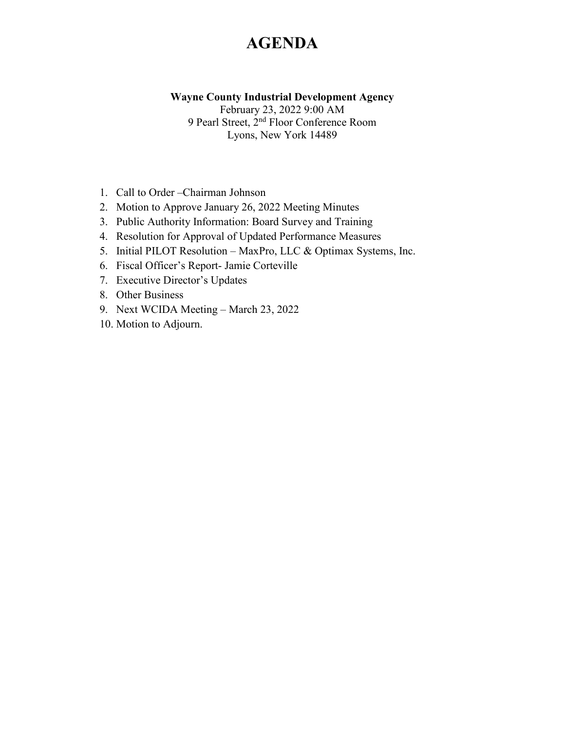# **AGENDA**

#### **Wayne County Industrial Development Agency**

February 23, 2022 9:00 AM 9 Pearl Street, 2nd Floor Conference Room Lyons, New York 14489

- 1. Call to Order –Chairman Johnson
- 2. Motion to Approve January 26, 2022 Meeting Minutes
- 3. Public Authority Information: Board Survey and Training
- 4. Resolution for Approval of Updated Performance Measures
- 5. Initial PILOT Resolution MaxPro, LLC & Optimax Systems, Inc.
- 6. Fiscal Officer's Report- Jamie Corteville
- 7. Executive Director's Updates
- 8. Other Business
- 9. Next WCIDA Meeting March 23, 2022
- 10. Motion to Adjourn.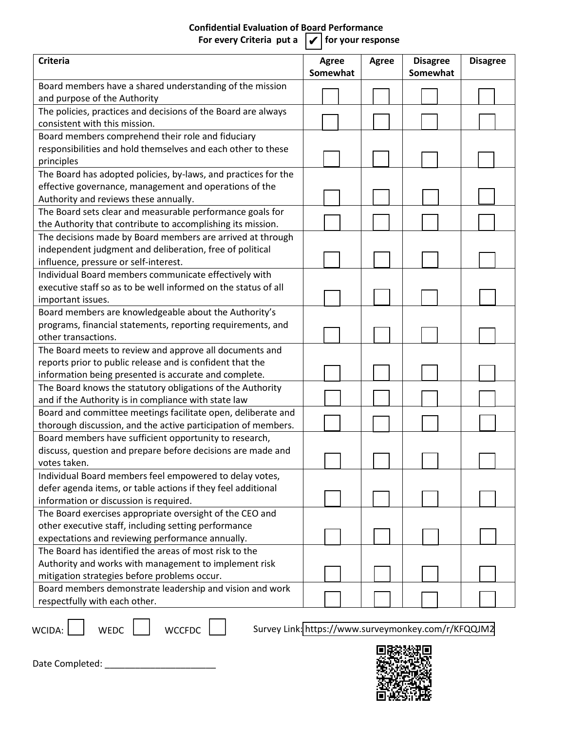### **Confidential Evaluation of Board Performance** For every Criteria put a  $|\boldsymbol{\mathsf{v}}|$  for your response

| <b>Criteria</b>                                                | Agree<br>Somewhat | <b>Agree</b> | <b>Disagree</b><br>Somewhat | <b>Disagree</b> |
|----------------------------------------------------------------|-------------------|--------------|-----------------------------|-----------------|
| Board members have a shared understanding of the mission       |                   |              |                             |                 |
| and purpose of the Authority                                   |                   |              |                             |                 |
| The policies, practices and decisions of the Board are always  |                   |              |                             |                 |
| consistent with this mission.                                  |                   |              |                             |                 |
| Board members comprehend their role and fiduciary              |                   |              |                             |                 |
| responsibilities and hold themselves and each other to these   |                   |              |                             |                 |
| principles                                                     |                   |              |                             |                 |
| The Board has adopted policies, by-laws, and practices for the |                   |              |                             |                 |
| effective governance, management and operations of the         |                   |              |                             |                 |
| Authority and reviews these annually.                          |                   |              |                             |                 |
| The Board sets clear and measurable performance goals for      |                   |              |                             |                 |
| the Authority that contribute to accomplishing its mission.    |                   |              |                             |                 |
| The decisions made by Board members are arrived at through     |                   |              |                             |                 |
| independent judgment and deliberation, free of political       |                   |              |                             |                 |
| influence, pressure or self-interest.                          |                   |              |                             |                 |
| Individual Board members communicate effectively with          |                   |              |                             |                 |
| executive staff so as to be well informed on the status of all |                   |              |                             |                 |
| important issues.                                              |                   |              |                             |                 |
| Board members are knowledgeable about the Authority's          |                   |              |                             |                 |
| programs, financial statements, reporting requirements, and    |                   |              |                             |                 |
| other transactions.                                            |                   |              |                             |                 |
| The Board meets to review and approve all documents and        |                   |              |                             |                 |
| reports prior to public release and is confident that the      |                   |              |                             |                 |
| information being presented is accurate and complete.          |                   |              |                             |                 |
| The Board knows the statutory obligations of the Authority     |                   |              |                             |                 |
| and if the Authority is in compliance with state law           |                   |              |                             |                 |
| Board and committee meetings facilitate open, deliberate and   |                   |              |                             |                 |
| thorough discussion, and the active participation of members.  |                   |              |                             |                 |
| Board members have sufficient opportunity to research,         |                   |              |                             |                 |
| discuss, question and prepare before decisions are made and    |                   |              |                             |                 |
| votes taken.                                                   |                   |              |                             |                 |
| Individual Board members feel empowered to delay votes,        |                   |              |                             |                 |
| defer agenda items, or table actions if they feel additional   |                   |              |                             |                 |
| information or discussion is required.                         |                   |              |                             |                 |
| The Board exercises appropriate oversight of the CEO and       |                   |              |                             |                 |
| other executive staff, including setting performance           |                   |              |                             |                 |
| expectations and reviewing performance annually.               |                   |              |                             |                 |
| The Board has identified the areas of most risk to the         |                   |              |                             |                 |
| Authority and works with management to implement risk          |                   |              |                             |                 |
| mitigation strategies before problems occur.                   |                   |              |                             |                 |
| Board members demonstrate leadership and vision and work       |                   |              |                             |                 |
| respectfully with each other.                                  |                   |              |                             |                 |

WCIDA: WEDC WEDC WCCFDC Survey Link[: https://www.surveymonkey.com/r/KFQQJM2](https://www.surveymonkey.com/r/KFQQJM2)



Date Completed: \_\_\_\_\_\_\_\_\_\_\_\_\_\_\_\_\_\_\_\_\_\_